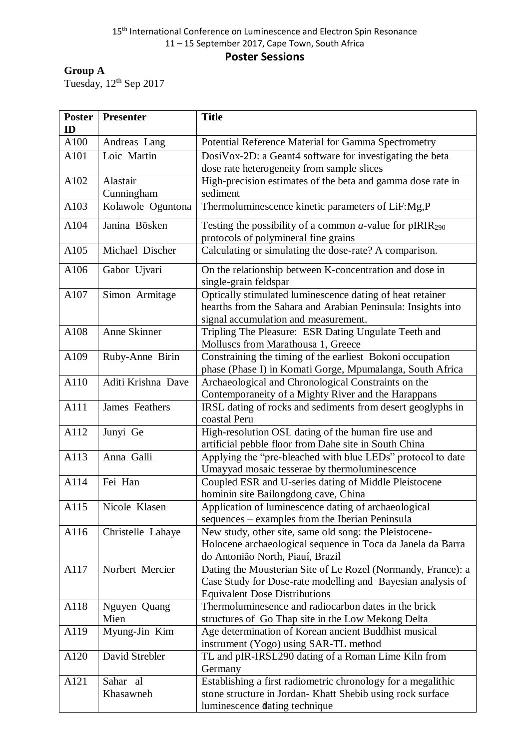### 15<sup>th</sup> International Conference on Luminescence and Electron Spin Resonance 11 – 15 September 2017, Cape Town, South Africa **Poster Sessions**

# **Group A**

Tuesday,  $12^{th}$  Sep 2017

| <b>Poster</b><br>ID          | <b>Presenter</b>                                                                 | <b>Title</b>                                                                                                                                                                                                                                                                                                                                                                                                                                                                        |
|------------------------------|----------------------------------------------------------------------------------|-------------------------------------------------------------------------------------------------------------------------------------------------------------------------------------------------------------------------------------------------------------------------------------------------------------------------------------------------------------------------------------------------------------------------------------------------------------------------------------|
| A100                         | Andreas Lang                                                                     | Potential Reference Material for Gamma Spectrometry                                                                                                                                                                                                                                                                                                                                                                                                                                 |
| A101                         | Loic Martin                                                                      | DosiVox-2D: a Geant4 software for investigating the beta                                                                                                                                                                                                                                                                                                                                                                                                                            |
|                              |                                                                                  | dose rate heterogeneity from sample slices                                                                                                                                                                                                                                                                                                                                                                                                                                          |
| A102                         | Alastair                                                                         | High-precision estimates of the beta and gamma dose rate in                                                                                                                                                                                                                                                                                                                                                                                                                         |
|                              | Cunningham                                                                       | sediment                                                                                                                                                                                                                                                                                                                                                                                                                                                                            |
| A103                         | Kolawole Oguntona                                                                | Thermoluminescence kinetic parameters of LiF:Mg,P                                                                                                                                                                                                                                                                                                                                                                                                                                   |
| A104                         | Janina Bösken                                                                    | Testing the possibility of a common $a$ -value for pIRIR <sub>290</sub>                                                                                                                                                                                                                                                                                                                                                                                                             |
|                              |                                                                                  | protocols of polymineral fine grains                                                                                                                                                                                                                                                                                                                                                                                                                                                |
| A105                         | Michael Discher                                                                  | Calculating or simulating the dose-rate? A comparison.                                                                                                                                                                                                                                                                                                                                                                                                                              |
| A106                         | Gabor Ujvari                                                                     | On the relationship between K-concentration and dose in<br>single-grain feldspar                                                                                                                                                                                                                                                                                                                                                                                                    |
| A107                         | Simon Armitage                                                                   | Optically stimulated luminescence dating of heat retainer                                                                                                                                                                                                                                                                                                                                                                                                                           |
|                              |                                                                                  | hearths from the Sahara and Arabian Peninsula: Insights into                                                                                                                                                                                                                                                                                                                                                                                                                        |
|                              |                                                                                  | signal accumulation and measurement.                                                                                                                                                                                                                                                                                                                                                                                                                                                |
| A108                         | Anne Skinner                                                                     | Tripling The Pleasure: ESR Dating Ungulate Teeth and                                                                                                                                                                                                                                                                                                                                                                                                                                |
|                              |                                                                                  | Molluscs from Marathousa 1, Greece                                                                                                                                                                                                                                                                                                                                                                                                                                                  |
| A109                         | Ruby-Anne Birin                                                                  | Constraining the timing of the earliest Bokoni occupation                                                                                                                                                                                                                                                                                                                                                                                                                           |
|                              |                                                                                  | phase (Phase I) in Komati Gorge, Mpumalanga, South Africa                                                                                                                                                                                                                                                                                                                                                                                                                           |
| A110                         | Aditi Krishna Dave                                                               | Archaeological and Chronological Constraints on the                                                                                                                                                                                                                                                                                                                                                                                                                                 |
|                              |                                                                                  | Contemporaneity of a Mighty River and the Harappans                                                                                                                                                                                                                                                                                                                                                                                                                                 |
| A111                         | James Feathers                                                                   | IRSL dating of rocks and sediments from desert geoglyphs in<br>coastal Peru                                                                                                                                                                                                                                                                                                                                                                                                         |
| A112                         | Junyi Ge                                                                         | High-resolution OSL dating of the human fire use and                                                                                                                                                                                                                                                                                                                                                                                                                                |
|                              |                                                                                  | artificial pebble floor from Dahe site in South China                                                                                                                                                                                                                                                                                                                                                                                                                               |
| A113                         | Anna Galli                                                                       | Applying the "pre-bleached with blue LEDs" protocol to date                                                                                                                                                                                                                                                                                                                                                                                                                         |
|                              |                                                                                  | Umayyad mosaic tesserae by thermoluminescence                                                                                                                                                                                                                                                                                                                                                                                                                                       |
| A114                         | Fei Han                                                                          | Coupled ESR and U-series dating of Middle Pleistocene                                                                                                                                                                                                                                                                                                                                                                                                                               |
|                              |                                                                                  | hominin site Bailongdong cave, China                                                                                                                                                                                                                                                                                                                                                                                                                                                |
| A115                         | Nicole Klasen                                                                    | Application of luminescence dating of archaeological                                                                                                                                                                                                                                                                                                                                                                                                                                |
|                              |                                                                                  | sequences – examples from the Iberian Peninsula                                                                                                                                                                                                                                                                                                                                                                                                                                     |
| A116                         | Christelle Lahaye                                                                | New study, other site, same old song: the Pleistocene-                                                                                                                                                                                                                                                                                                                                                                                                                              |
|                              |                                                                                  | Holocene archaeological sequence in Toca da Janela da Barra                                                                                                                                                                                                                                                                                                                                                                                                                         |
|                              |                                                                                  | do Antonião North, Piauí, Brazil                                                                                                                                                                                                                                                                                                                                                                                                                                                    |
| A117                         | Norbert Mercier                                                                  | Dating the Mousterian Site of Le Rozel (Normandy, France): a                                                                                                                                                                                                                                                                                                                                                                                                                        |
|                              |                                                                                  | Case Study for Dose-rate modelling and Bayesian analysis of                                                                                                                                                                                                                                                                                                                                                                                                                         |
|                              |                                                                                  |                                                                                                                                                                                                                                                                                                                                                                                                                                                                                     |
|                              |                                                                                  |                                                                                                                                                                                                                                                                                                                                                                                                                                                                                     |
|                              |                                                                                  |                                                                                                                                                                                                                                                                                                                                                                                                                                                                                     |
|                              |                                                                                  |                                                                                                                                                                                                                                                                                                                                                                                                                                                                                     |
|                              |                                                                                  |                                                                                                                                                                                                                                                                                                                                                                                                                                                                                     |
|                              |                                                                                  |                                                                                                                                                                                                                                                                                                                                                                                                                                                                                     |
|                              |                                                                                  |                                                                                                                                                                                                                                                                                                                                                                                                                                                                                     |
|                              |                                                                                  |                                                                                                                                                                                                                                                                                                                                                                                                                                                                                     |
|                              |                                                                                  |                                                                                                                                                                                                                                                                                                                                                                                                                                                                                     |
| A118<br>A119<br>A120<br>A121 | Nguyen Quang<br>Mien<br>Myung-Jin Kim<br>David Strebler<br>Sahar al<br>Khasawneh | <b>Equivalent Dose Distributions</b><br>Thermoluminesence and radiocarbon dates in the brick<br>structures of Go Thap site in the Low Mekong Delta<br>Age determination of Korean ancient Buddhist musical<br>instrument (Yogo) using SAR-TL method<br>TL and pIR-IRSL290 dating of a Roman Lime Kiln from<br>Germany<br>Establishing a first radiometric chronology for a megalithic<br>stone structure in Jordan-Khatt Shebib using rock surface<br>luminescence dating technique |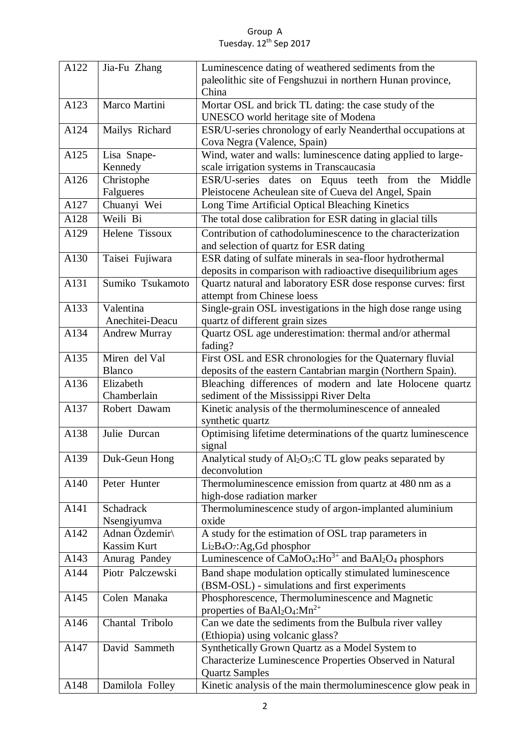#### Group A Tuesday. 12<sup>th</sup> Sep 2017

| A122 | Jia-Fu Zhang         | Luminescence dating of weathered sediments from the                                                   |
|------|----------------------|-------------------------------------------------------------------------------------------------------|
|      |                      | paleolithic site of Fengshuzui in northern Hunan province,                                            |
|      |                      | China                                                                                                 |
| A123 | Marco Martini        | Mortar OSL and brick TL dating: the case study of the                                                 |
|      |                      | UNESCO world heritage site of Modena                                                                  |
| A124 | Mailys Richard       | ESR/U-series chronology of early Neanderthal occupations at                                           |
|      |                      | Cova Negra (Valence, Spain)                                                                           |
| A125 | Lisa Snape-          | Wind, water and walls: luminescence dating applied to large-                                          |
|      | Kennedy              | scale irrigation systems in Transcaucasia                                                             |
| A126 | Christophe           | ESR/U-series dates on Equus teeth from the<br>Middle                                                  |
|      | Falgueres            | Pleistocene Acheulean site of Cueva del Angel, Spain                                                  |
| A127 | Chuanyi Wei          | Long Time Artificial Optical Bleaching Kinetics                                                       |
| A128 | Weili Bi             | The total dose calibration for ESR dating in glacial tills                                            |
|      |                      |                                                                                                       |
| A129 | Helene Tissoux       | Contribution of cathodoluminescence to the characterization<br>and selection of quartz for ESR dating |
| A130 | Taisei Fujiwara      | ESR dating of sulfate minerals in sea-floor hydrothermal                                              |
|      |                      | deposits in comparison with radioactive disequilibrium ages                                           |
| A131 | Sumiko Tsukamoto     | Quartz natural and laboratory ESR dose response curves: first                                         |
|      |                      | attempt from Chinese loess                                                                            |
| A133 | Valentina            | Single-grain OSL investigations in the high dose range using                                          |
|      | Anechitei-Deacu      | quartz of different grain sizes                                                                       |
| A134 | <b>Andrew Murray</b> | Quartz OSL age underestimation: thermal and/or athermal                                               |
|      |                      | fading?                                                                                               |
| A135 | Miren del Val        | First OSL and ESR chronologies for the Quaternary fluvial                                             |
|      | <b>Blanco</b>        | deposits of the eastern Cantabrian margin (Northern Spain).                                           |
| A136 | Elizabeth            | Bleaching differences of modern and late Holocene quartz                                              |
|      | Chamberlain          | sediment of the Mississippi River Delta                                                               |
| A137 | Robert Dawam         | Kinetic analysis of the thermoluminescence of annealed                                                |
|      |                      | synthetic quartz                                                                                      |
| A138 | Julie Durcan         | Optimising lifetime determinations of the quartz luminescence                                         |
|      |                      | signal                                                                                                |
|      | A139 Duk-Geun Hong   | Analytical study of Al <sub>2</sub> O <sub>3</sub> :C TL glow peaks separated by                      |
|      |                      | deconvolution                                                                                         |
| A140 | Peter Hunter         | Thermoluminescence emission from quartz at 480 nm as a                                                |
|      |                      | high-dose radiation marker                                                                            |
| A141 | Schadrack            | Thermoluminescence study of argon-implanted aluminium                                                 |
|      | Nsengiyumva          | oxide                                                                                                 |
| A142 | Adnan Özdemir        | A study for the estimation of OSL trap parameters in                                                  |
|      | Kassim Kurt          | $Li2B4O7:Ag,Gd phosphory$                                                                             |
| A143 | Anurag Pandey        | Luminescence of CaMoO <sub>4</sub> :Ho <sup>3+</sup> and BaAl <sub>2</sub> O <sub>4</sub> phosphors   |
| A144 | Piotr Palczewski     | Band shape modulation optically stimulated luminescence                                               |
|      |                      | (BSM-OSL) - simulations and first experiments                                                         |
| A145 | Colen Manaka         | Phosphorescence, Thermoluminescence and Magnetic                                                      |
|      |                      | properties of $BaAl2O4:Mn2+$                                                                          |
| A146 |                      |                                                                                                       |
|      | Chantal Tribolo      | Can we date the sediments from the Bulbula river valley                                               |
|      |                      | (Ethiopia) using volcanic glass?                                                                      |
| A147 | David Sammeth        | Synthetically Grown Quartz as a Model System to                                                       |
|      |                      | Characterize Luminescence Properties Observed in Natural                                              |
| A148 | Damilola Folley      | <b>Quartz Samples</b><br>Kinetic analysis of the main thermoluminescence glow peak in                 |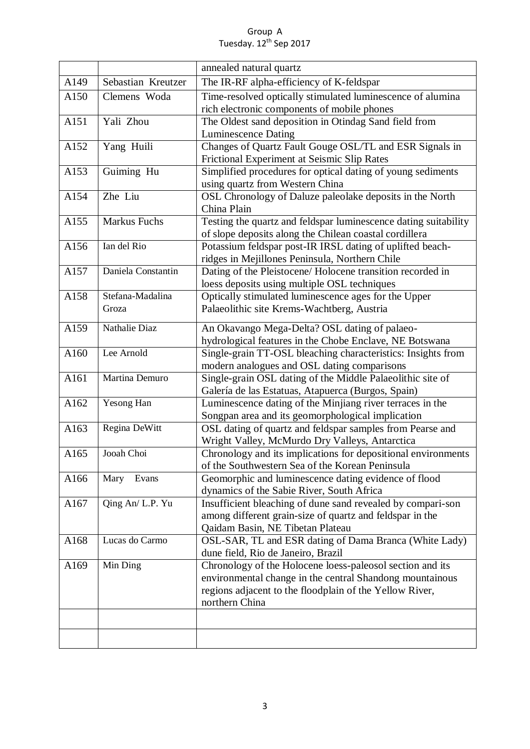#### Group A Tuesday. 12<sup>th</sup> Sep 2017

|      |                           | annealed natural quartz                                                                                                                                                                            |
|------|---------------------------|----------------------------------------------------------------------------------------------------------------------------------------------------------------------------------------------------|
| A149 | Sebastian Kreutzer        | The IR-RF alpha-efficiency of K-feldspar                                                                                                                                                           |
| A150 | Clemens Woda              | Time-resolved optically stimulated luminescence of alumina<br>rich electronic components of mobile phones                                                                                          |
| A151 | Yali Zhou                 | The Oldest sand deposition in Otindag Sand field from<br><b>Luminescence Dating</b>                                                                                                                |
| A152 | Yang Huili                | Changes of Quartz Fault Gouge OSL/TL and ESR Signals in<br>Frictional Experiment at Seismic Slip Rates                                                                                             |
| A153 | Guiming Hu                | Simplified procedures for optical dating of young sediments<br>using quartz from Western China                                                                                                     |
| A154 | Zhe Liu                   | OSL Chronology of Daluze paleolake deposits in the North<br>China Plain                                                                                                                            |
| A155 | Markus Fuchs              | Testing the quartz and feldspar luminescence dating suitability<br>of slope deposits along the Chilean coastal cordillera                                                                          |
| A156 | Ian del Rio               | Potassium feldspar post-IR IRSL dating of uplifted beach-<br>ridges in Mejillones Peninsula, Northern Chile                                                                                        |
| A157 | Daniela Constantin        | Dating of the Pleistocene/ Holocene transition recorded in<br>loess deposits using multiple OSL techniques                                                                                         |
| A158 | Stefana-Madalina<br>Groza | Optically stimulated luminescence ages for the Upper<br>Palaeolithic site Krems-Wachtberg, Austria                                                                                                 |
| A159 | Nathalie Diaz             | An Okavango Mega-Delta? OSL dating of palaeo-<br>hydrological features in the Chobe Enclave, NE Botswana                                                                                           |
| A160 | Lee Arnold                | Single-grain TT-OSL bleaching characteristics: Insights from<br>modern analogues and OSL dating comparisons                                                                                        |
| A161 | Martina Demuro            | Single-grain OSL dating of the Middle Palaeolithic site of<br>Galería de las Estatuas, Atapuerca (Burgos, Spain)                                                                                   |
| A162 | Yesong Han                | Luminescence dating of the Minjiang river terraces in the<br>Songpan area and its geomorphological implication                                                                                     |
| A163 | Regina DeWitt             | OSL dating of quartz and feldspar samples from Pearse and<br>Wright Valley, McMurdo Dry Valleys, Antarctica                                                                                        |
| A165 | Jooah Choi                | Chronology and its implications for depositional environments<br>of the Southwestern Sea of the Korean Peninsula                                                                                   |
| A166 | Evans<br>Mary             | Geomorphic and luminescence dating evidence of flood<br>dynamics of the Sabie River, South Africa                                                                                                  |
| A167 | Qing An/ L.P. Yu          | Insufficient bleaching of dune sand revealed by compari-son<br>among different grain-size of quartz and feldspar in the<br>Qaidam Basin, NE Tibetan Plateau                                        |
| A168 | Lucas do Carmo            | OSL-SAR, TL and ESR dating of Dama Branca (White Lady)<br>dune field, Rio de Janeiro, Brazil                                                                                                       |
| A169 | Min Ding                  | Chronology of the Holocene loess-paleosol section and its<br>environmental change in the central Shandong mountainous<br>regions adjacent to the floodplain of the Yellow River,<br>northern China |
|      |                           |                                                                                                                                                                                                    |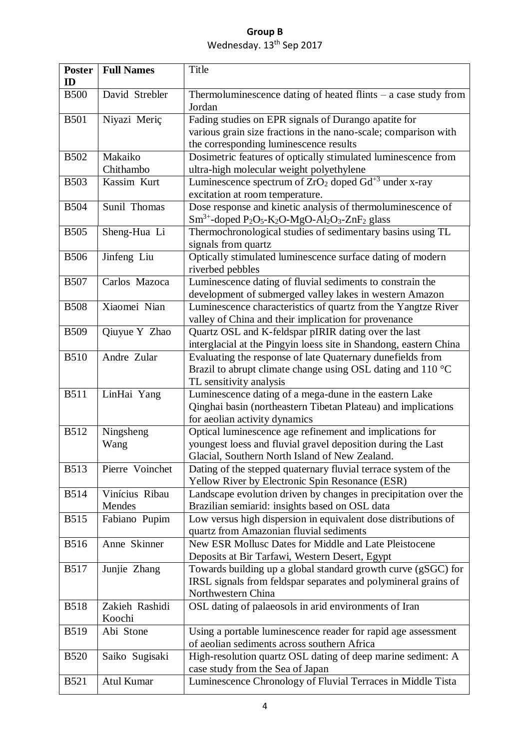| <b>Poster</b><br>ID | <b>Full Names</b>        | Title                                                                                                                                                                                             |
|---------------------|--------------------------|---------------------------------------------------------------------------------------------------------------------------------------------------------------------------------------------------|
| <b>B500</b>         | David Strebler           | Thermoluminescence dating of heated flints $-$ a case study from<br>Jordan                                                                                                                        |
| <b>B501</b>         | Niyazi Meriç             | Fading studies on EPR signals of Durango apatite for<br>various grain size fractions in the nano-scale; comparison with<br>the corresponding luminescence results                                 |
| <b>B502</b>         | Makaiko<br>Chithambo     | Dosimetric features of optically stimulated luminescence from<br>ultra-high molecular weight polyethylene                                                                                         |
| <b>B503</b>         | Kassim Kurt              | Luminescence spectrum of $ZrO_2$ doped $\overline{Gd}^{+3}$ under x-ray<br>excitation at room temperature.                                                                                        |
| <b>B504</b>         | Sunil Thomas             | Dose response and kinetic analysis of thermoluminescence of<br>$\text{Sm}^{3+}$ -doped P <sub>2</sub> O <sub>5</sub> -K <sub>2</sub> O-MgO-Al <sub>2</sub> O <sub>3</sub> -ZnF <sub>2</sub> glass |
| <b>B505</b>         | Sheng-Hua Li             | Thermochronological studies of sedimentary basins using TL<br>signals from quartz                                                                                                                 |
| <b>B506</b>         | Jinfeng Liu              | Optically stimulated luminescence surface dating of modern<br>riverbed pebbles                                                                                                                    |
| <b>B507</b>         | Carlos Mazoca            | Luminescence dating of fluvial sediments to constrain the<br>development of submerged valley lakes in western Amazon                                                                              |
| <b>B508</b>         | Xiaomei Nian             | Luminescence characteristics of quartz from the Yangtze River<br>valley of China and their implication for provenance                                                                             |
| <b>B509</b>         | Qiuyue Y Zhao            | Quartz OSL and K-feldspar pIRIR dating over the last<br>interglacial at the Pingyin loess site in Shandong, eastern China                                                                         |
| <b>B510</b>         | Andre Zular              | Evaluating the response of late Quaternary dunefields from<br>Brazil to abrupt climate change using OSL dating and 110 °C<br>TL sensitivity analysis                                              |
| <b>B511</b>         | LinHai Yang              | Luminescence dating of a mega-dune in the eastern Lake<br>Qinghai basin (northeastern Tibetan Plateau) and implications<br>for aeolian activity dynamics                                          |
| <b>B512</b>         | Ningsheng<br>Wang        | Optical luminescence age refinement and implications for<br>youngest loess and fluvial gravel deposition during the Last<br>Glacial, Southern North Island of New Zealand.                        |
| <b>B513</b>         | Pierre Voinchet          | Dating of the stepped quaternary fluvial terrace system of the<br>Yellow River by Electronic Spin Resonance (ESR)                                                                                 |
| <b>B514</b>         | Vinícius Ribau<br>Mendes | Landscape evolution driven by changes in precipitation over the<br>Brazilian semiarid: insights based on OSL data                                                                                 |
| <b>B515</b>         | Fabiano Pupim            | Low versus high dispersion in equivalent dose distributions of<br>quartz from Amazonian fluvial sediments                                                                                         |
| <b>B516</b>         | Anne Skinner             | New ESR Mollusc Dates for Middle and Late Pleistocene<br>Deposits at Bir Tarfawi, Western Desert, Egypt                                                                                           |
| <b>B517</b>         | Junjie Zhang             | Towards building up a global standard growth curve (gSGC) for<br>IRSL signals from feldspar separates and polymineral grains of<br>Northwestern China                                             |
| <b>B518</b>         | Zakieh Rashidi<br>Koochi | OSL dating of palaeosols in arid environments of Iran                                                                                                                                             |
| <b>B519</b>         | Abi Stone                | Using a portable luminescence reader for rapid age assessment<br>of aeolian sediments across southern Africa                                                                                      |
| <b>B520</b>         | Saiko Sugisaki           | High-resolution quartz OSL dating of deep marine sediment: A<br>case study from the Sea of Japan                                                                                                  |
| <b>B521</b>         | Atul Kumar               | Luminescence Chronology of Fluvial Terraces in Middle Tista                                                                                                                                       |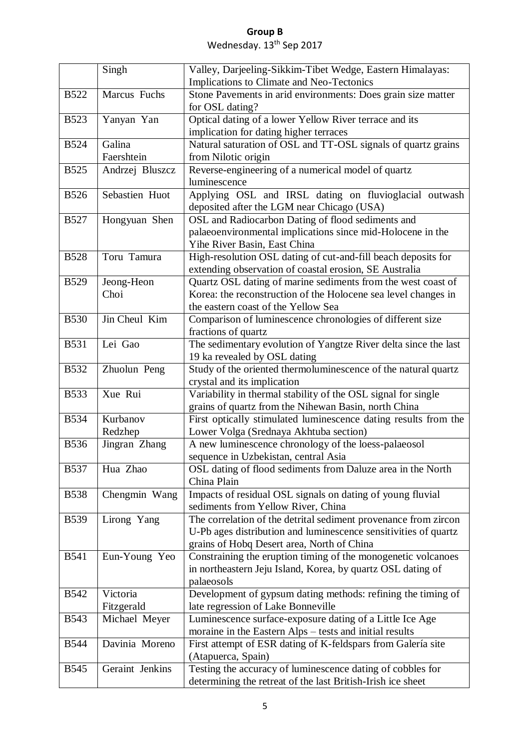|             | Singh           | Valley, Darjeeling-Sikkim-Tibet Wedge, Eastern Himalayas:                                                             |
|-------------|-----------------|-----------------------------------------------------------------------------------------------------------------------|
|             |                 | Implications to Climate and Neo-Tectonics                                                                             |
| <b>B522</b> | Marcus Fuchs    | Stone Pavements in arid environments: Does grain size matter                                                          |
|             |                 | for OSL dating?                                                                                                       |
| <b>B523</b> | Yanyan Yan      | Optical dating of a lower Yellow River terrace and its                                                                |
|             |                 | implication for dating higher terraces                                                                                |
| <b>B524</b> | Galina          | Natural saturation of OSL and TT-OSL signals of quartz grains                                                         |
|             | Faershtein      | from Nilotic origin                                                                                                   |
| <b>B525</b> | Andrzej Bluszcz | Reverse-engineering of a numerical model of quartz                                                                    |
|             |                 | luminescence                                                                                                          |
| <b>B526</b> | Sebastien Huot  | Applying OSL and IRSL dating on fluvioglacial outwash<br>deposited after the LGM near Chicago (USA)                   |
| <b>B527</b> | Hongyuan Shen   | OSL and Radiocarbon Dating of flood sediments and                                                                     |
|             |                 | palaeoenvironmental implications since mid-Holocene in the                                                            |
|             |                 | Yihe River Basin, East China                                                                                          |
| <b>B528</b> | Toru Tamura     | High-resolution OSL dating of cut-and-fill beach deposits for                                                         |
|             |                 | extending observation of coastal erosion, SE Australia                                                                |
| <b>B529</b> | Jeong-Heon      | Quartz OSL dating of marine sediments from the west coast of                                                          |
|             | Choi            | Korea: the reconstruction of the Holocene sea level changes in                                                        |
|             |                 | the eastern coast of the Yellow Sea                                                                                   |
| <b>B530</b> | Jin Cheul Kim   | Comparison of luminescence chronologies of different size                                                             |
|             |                 | fractions of quartz                                                                                                   |
| <b>B531</b> | Lei Gao         | The sedimentary evolution of Yangtze River delta since the last                                                       |
|             |                 | 19 ka revealed by OSL dating                                                                                          |
| <b>B532</b> | Zhuolun Peng    | Study of the oriented thermoluminescence of the natural quartz                                                        |
| <b>B533</b> | Xue Rui         | crystal and its implication                                                                                           |
|             |                 | Variability in thermal stability of the OSL signal for single<br>grains of quartz from the Nihewan Basin, north China |
| <b>B534</b> | Kurbanov        | First optically stimulated luminescence dating results from the                                                       |
|             | Redzhep         | Lower Volga (Srednaya Akhtuba section)                                                                                |
| <b>B536</b> | Jingran Zhang   | A new luminescence chronology of the loess-palaeosol                                                                  |
|             |                 | sequence in Uzbekistan, central Asia                                                                                  |
| <b>B537</b> | Hua Zhao        | OSL dating of flood sediments from Daluze area in the North                                                           |
|             |                 | China Plain                                                                                                           |
| <b>B538</b> | Chengmin Wang   | Impacts of residual OSL signals on dating of young fluvial                                                            |
|             |                 | sediments from Yellow River, China                                                                                    |
| <b>B539</b> | Lirong Yang     | The correlation of the detrital sediment provenance from zircon                                                       |
|             |                 | U-Pb ages distribution and luminescence sensitivities of quartz                                                       |
|             |                 | grains of Hobq Desert area, North of China                                                                            |
| <b>B541</b> | Eun-Young Yeo   | Constraining the eruption timing of the monogenetic volcanoes                                                         |
|             |                 | in northeastern Jeju Island, Korea, by quartz OSL dating of                                                           |
|             |                 | palaeosols                                                                                                            |
| <b>B542</b> | Victoria        | Development of gypsum dating methods: refining the timing of                                                          |
|             | Fitzgerald      | late regression of Lake Bonneville                                                                                    |
| <b>B543</b> | Michael Meyer   | Luminescence surface-exposure dating of a Little Ice Age                                                              |
| <b>B544</b> | Davinia Moreno  | moraine in the Eastern Alps – tests and initial results                                                               |
|             |                 | First attempt of ESR dating of K-feldspars from Galería site<br>(Atapuerca, Spain)                                    |
| <b>B545</b> | Geraint Jenkins | Testing the accuracy of luminescence dating of cobbles for                                                            |
|             |                 | determining the retreat of the last British-Irish ice sheet                                                           |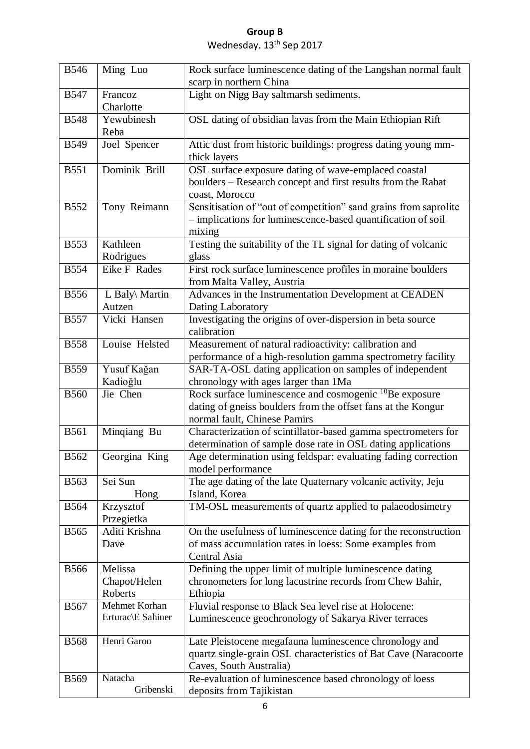| <b>B546</b> | Ming Luo                           | Rock surface luminescence dating of the Langshan normal fault                                                                                                      |
|-------------|------------------------------------|--------------------------------------------------------------------------------------------------------------------------------------------------------------------|
|             |                                    | scarp in northern China                                                                                                                                            |
| <b>B547</b> | Francoz<br>Charlotte               | Light on Nigg Bay saltmarsh sediments.                                                                                                                             |
| <b>B548</b> | Yewubinesh<br>Reba                 | OSL dating of obsidian lavas from the Main Ethiopian Rift                                                                                                          |
| <b>B549</b> | Joel Spencer                       | Attic dust from historic buildings: progress dating young mm-<br>thick layers                                                                                      |
| <b>B551</b> | Dominik Brill                      | OSL surface exposure dating of wave-emplaced coastal<br>boulders - Research concept and first results from the Rabat<br>coast, Morocco                             |
| <b>B552</b> | Tony Reimann                       | Sensitisation of "out of competition" sand grains from saprolite<br>- implications for luminescence-based quantification of soil<br>mixing                         |
| <b>B553</b> | Kathleen<br>Rodrigues              | Testing the suitability of the TL signal for dating of volcanic<br>glass                                                                                           |
| <b>B554</b> | Eike F Rades                       | First rock surface luminescence profiles in moraine boulders<br>from Malta Valley, Austria                                                                         |
| <b>B556</b> | L Baly\ Martin<br>Autzen           | Advances in the Instrumentation Development at CEADEN<br>Dating Laboratory                                                                                         |
| <b>B557</b> | Vicki Hansen                       | Investigating the origins of over-dispersion in beta source<br>calibration                                                                                         |
| <b>B558</b> | Louise Helsted                     | Measurement of natural radioactivity: calibration and<br>performance of a high-resolution gamma spectrometry facility                                              |
| <b>B559</b> | Yusuf Kağan<br>Kadioğlu            | SAR-TA-OSL dating application on samples of independent<br>chronology with ages larger than 1Ma                                                                    |
| <b>B560</b> | Jie Chen                           | Rock surface luminescence and cosmogenic <sup>10</sup> Be exposure<br>dating of gneiss boulders from the offset fans at the Kongur<br>normal fault, Chinese Pamirs |
| <b>B561</b> | Minqiang Bu                        | Characterization of scintillator-based gamma spectrometers for<br>determination of sample dose rate in OSL dating applications                                     |
| <b>B562</b> | Georgina King                      | Age determination using feldspar: evaluating fading correction<br>model performance                                                                                |
| <b>B563</b> | Sei Sun<br>Hong                    | The age dating of the late Quaternary volcanic activity, Jeju<br>Island, Korea                                                                                     |
| <b>B564</b> | Krzysztof<br>Przegietka            | TM-OSL measurements of quartz applied to palaeodosimetry                                                                                                           |
| <b>B565</b> | Aditi Krishna<br>Dave              | On the usefulness of luminescence dating for the reconstruction<br>of mass accumulation rates in loess: Some examples from<br>Central Asia                         |
| <b>B566</b> | Melissa<br>Chapot/Helen<br>Roberts | Defining the upper limit of multiple luminescence dating<br>chronometers for long lacustrine records from Chew Bahir,<br>Ethiopia                                  |
| <b>B567</b> | Mehmet Korhan<br>Erturac\E Sahiner | Fluvial response to Black Sea level rise at Holocene:<br>Luminescence geochronology of Sakarya River terraces                                                      |
| <b>B568</b> | Henri Garon                        | Late Pleistocene megafauna luminescence chronology and<br>quartz single-grain OSL characteristics of Bat Cave (Naracoorte<br>Caves, South Australia)               |
| <b>B569</b> | Natacha<br>Gribenski               | Re-evaluation of luminescence based chronology of loess<br>deposits from Tajikistan                                                                                |